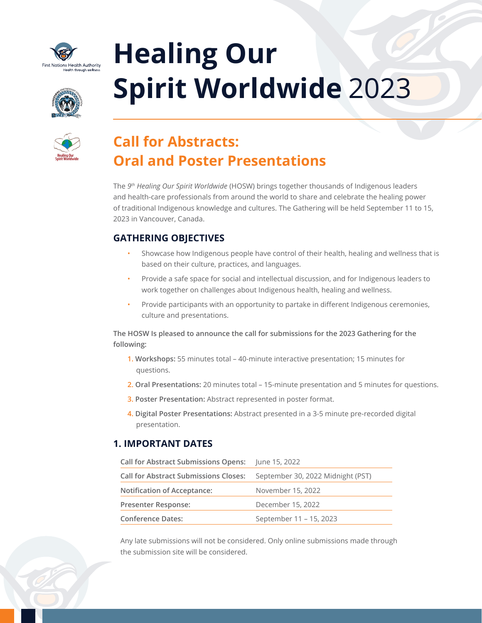

# **Healing Our Spirit Worldwide** 2023





# **Call for Abstracts: Oral and Poster Presentations**

The *9th Healing Our Spirit Worldwide* (HOSW) brings together thousands of Indigenous leaders and health-care professionals from around the world to share and celebrate the healing power of traditional Indigenous knowledge and cultures. The Gathering will be held September 11 to 15, 2023 in Vancouver, Canada.

# **GATHERING OBJECTIVES**

- Showcase how Indigenous people have control of their health, healing and wellness that is based on their culture, practices, and languages.
- Provide a safe space for social and intellectual discussion, and for Indigenous leaders to work together on challenges about Indigenous health, healing and wellness.
- Provide participants with an opportunity to partake in different Indigenous ceremonies, culture and presentations.

**The HOSW Is pleased to announce the call for submissions for the 2023 Gathering for the following:** 

- **1. Workshops:** 55 minutes total 40-minute interactive presentation; 15 minutes for questions.
- **2. Oral Presentations:** 20 minutes total 15-minute presentation and 5 minutes for questions.
- **3. Poster Presentation:** Abstract represented in poster format.
- **4. Digital Poster Presentations:** Abstract presented in a 3-5 minute pre-recorded digital presentation.

# **1. IMPORTANT DATES**

**Call for Abstract Submissions Opens:** June 15, 2022

| <b>Call for Abstract Submissions Closes:</b> | September 30, 2022 Midnight (PST) |
|----------------------------------------------|-----------------------------------|
| <b>Notification of Acceptance:</b>           | November 15, 2022                 |
| <b>Presenter Response:</b>                   | December 15, 2022                 |
| <b>Conference Dates:</b>                     | September 11 - 15, 2023           |

Any late submissions will not be considered. Only online submissions made through the submission site will be considered.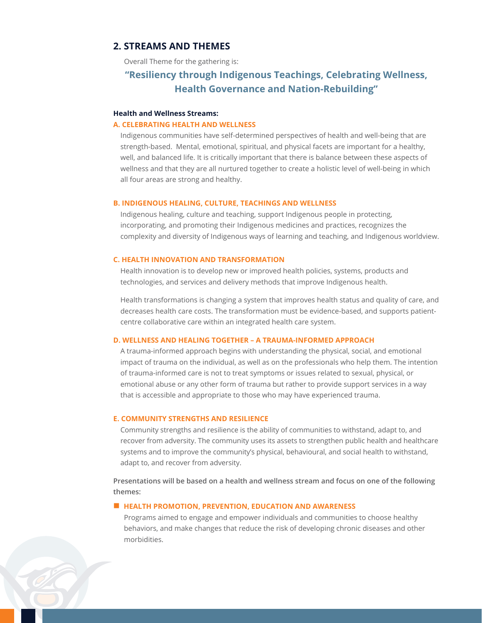#### **2. STREAMS AND THEMES**

Overall Theme for the gathering is:

# **"Resiliency through Indigenous Teachings, Celebrating Wellness, Health Governance and Nation-Rebuilding"**

#### **Health and Wellness Streams:**

#### **A. CELEBRATING HEALTH AND WELLNESS**

Indigenous communities have self-determined perspectives of health and well-being that are strength-based. Mental, emotional, spiritual, and physical facets are important for a healthy, well, and balanced life. It is critically important that there is balance between these aspects of wellness and that they are all nurtured together to create a holistic level of well-being in which all four areas are strong and healthy.

#### **B. INDIGENOUS HEALING, CULTURE, TEACHINGS AND WELLNESS**

Indigenous healing, culture and teaching, support Indigenous people in protecting, incorporating, and promoting their Indigenous medicines and practices, recognizes the complexity and diversity of Indigenous ways of learning and teaching, and Indigenous worldview.

#### **C. HEALTH INNOVATION AND TRANSFORMATION**

Health innovation is to develop new or improved health policies, systems, products and technologies, and services and delivery methods that improve Indigenous health.

Health transformations is changing a system that improves health status and quality of care, and decreases health care costs. The transformation must be evidence-based, and supports patientcentre collaborative care within an integrated health care system.

#### **D. WELLNESS AND HEALING TOGETHER – A TRAUMA-INFORMED APPROACH**

A trauma-informed approach begins with understanding the physical, social, and emotional impact of trauma on the individual, as well as on the professionals who help them. The intention of trauma-informed care is not to treat symptoms or issues related to sexual, physical, or emotional abuse or any other form of trauma but rather to provide support services in a way that is accessible and appropriate to those who may have experienced trauma.

#### **E. COMMUNITY STRENGTHS AND RESILIENCE**

Community strengths and resilience is the ability of communities to withstand, adapt to, and recover from adversity. The community uses its assets to strengthen public health and healthcare systems and to improve the community's physical, behavioural, and social health to withstand, adapt to, and recover from adversity.

**Presentations will be based on a health and wellness stream and focus on one of the following themes:**

#### $\blacksquare$  **HEALTH PROMOTION, PREVENTION, EDUCATION AND AWARENESS**

Programs aimed to engage and empower individuals and communities to choose healthy behaviors, and make changes that reduce the risk of developing chronic diseases and other morbidities.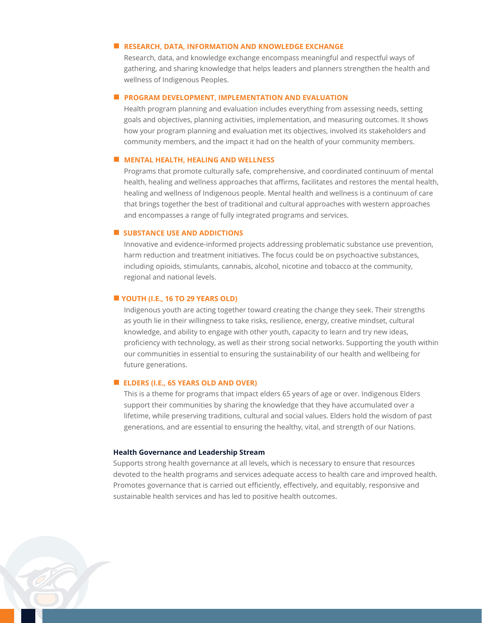#### **N** RESEARCH, DATA, INFORMATION AND KNOWLEDGE EXCHANGE

Research, data, and knowledge exchange encompass meaningful and respectful ways of gathering, and sharing knowledge that helps leaders and planners strengthen the health and wellness of Indigenous Peoples.

#### **n PROGRAM DEVELOPMENT, IMPLEMENTATION AND EVALUATION**

Health program planning and evaluation includes everything from assessing needs, setting goals and objectives, planning activities, implementation, and measuring outcomes. It shows how your program planning and evaluation met its objectives, involved its stakeholders and community members, and the impact it had on the health of your community members.

#### **NENTAL HEALTH, HEALING AND WELLNESS**

Programs that promote culturally safe, comprehensive, and coordinated continuum of mental health, healing and wellness approaches that affirms, facilitates and restores the mental health, healing and wellness of Indigenous people. Mental health and wellness is a continuum of care that brings together the best of traditional and cultural approaches with western approaches and encompasses a range of fully integrated programs and services.

#### **N** SUBSTANCE USE AND ADDICTIONS

Innovative and evidence-informed projects addressing problematic substance use prevention, harm reduction and treatment initiatives. The focus could be on psychoactive substances, including opioids, stimulants, cannabis, alcohol, nicotine and tobacco at the community, regional and national levels.

#### n **YOUTH (I.E., 16 TO 29 YEARS OLD)**

Indigenous youth are acting together toward creating the change they seek. Their strengths as youth lie in their willingness to take risks, resilience, energy, creative mindset, cultural knowledge, and ability to engage with other youth, capacity to learn and try new ideas, proficiency with technology, as well as their strong social networks. Supporting the youth within our communities in essential to ensuring the sustainability of our health and wellbeing for future generations.

#### n **ELDERS (I.E., 65 YEARS OLD AND OVER)**

This is a theme for programs that impact elders 65 years of age or over. Indigenous Elders support their communities by sharing the knowledge that they have accumulated over a lifetime, while preserving traditions, cultural and social values. Elders hold the wisdom of past generations, and are essential to ensuring the healthy, vital, and strength of our Nations.

#### **Health Governance and Leadership Stream**

Supports strong health governance at all levels, which is necessary to ensure that resources devoted to the health programs and services adequate access to health care and improved health. Promotes governance that is carried out efficiently, effectively, and equitably, responsive and sustainable health services and has led to positive health outcomes.

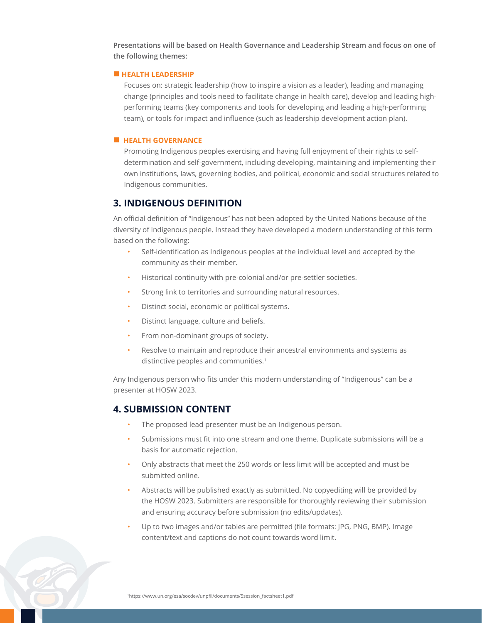**Presentations will be based on Health Governance and Leadership Stream and focus on one of the following themes:**

#### $\blacksquare$  **HEALTH LEADERSHIP**

Focuses on: strategic leadership (how to inspire a vision as a leader), leading and managing change (principles and tools need to facilitate change in health care), develop and leading highperforming teams (key components and tools for developing and leading a high-performing team), or tools for impact and influence (such as leadership development action plan).

#### **E** HEALTH GOVERNANCE

Promoting Indigenous peoples exercising and having full enjoyment of their rights to selfdetermination and self-government, including developing, maintaining and implementing their own institutions, laws, governing bodies, and political, economic and social structures related to Indigenous communities.

#### **3. INDIGENOUS DEFINITION**

An official definition of "Indigenous" has not been adopted by the United Nations because of the diversity of Indigenous people. Instead they have developed a modern understanding of this term based on the following:

- Self-identification as Indigenous peoples at the individual level and accepted by the community as their member.
- Historical continuity with pre-colonial and/or pre-settler societies.
- Strong link to territories and surrounding natural resources.
- Distinct social, economic or political systems.
- Distinct language, culture and beliefs.
- From non-dominant groups of society.
- Resolve to maintain and reproduce their ancestral environments and systems as distinctive peoples and communities.<sup>1</sup>

Any Indigenous person who fits under this modern understanding of "Indigenous" can be a presenter at HOSW 2023.

#### **4. SUBMISSION CONTENT**

- The proposed lead presenter must be an Indigenous person.
- Submissions must fit into one stream and one theme. Duplicate submissions will be a basis for automatic rejection.
- Only abstracts that meet the 250 words or less limit will be accepted and must be submitted online.
- Abstracts will be published exactly as submitted. No copyediting will be provided by the HOSW 2023. Submitters are responsible for thoroughly reviewing their submission and ensuring accuracy before submission (no edits/updates).
- Up to two images and/or tables are permitted (file formats: JPG, PNG, BMP). Image content/text and captions do not count towards word limit.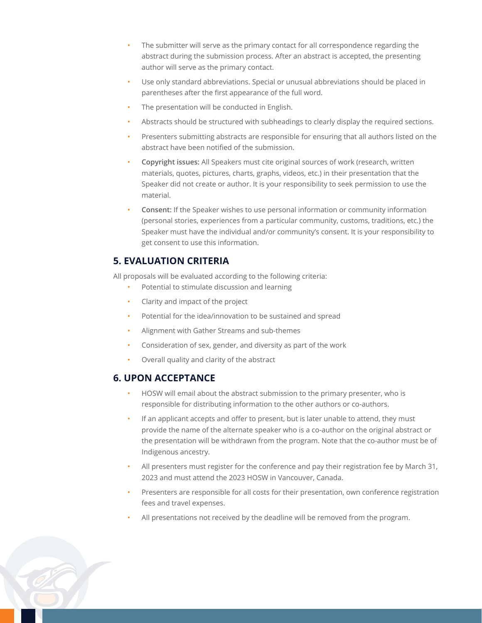- The submitter will serve as the primary contact for all correspondence regarding the abstract during the submission process. After an abstract is accepted, the presenting author will serve as the primary contact.
- Use only standard abbreviations. Special or unusual abbreviations should be placed in parentheses after the first appearance of the full word.
- The presentation will be conducted in English.
- Abstracts should be structured with subheadings to clearly display the required sections.
- Presenters submitting abstracts are responsible for ensuring that all authors listed on the abstract have been notified of the submission.
- **Copyright issues:** All Speakers must cite original sources of work (research, written materials, quotes, pictures, charts, graphs, videos, etc.) in their presentation that the Speaker did not create or author. It is your responsibility to seek permission to use the material.
- **Consent:** If the Speaker wishes to use personal information or community information (personal stories, experiences from a particular community, customs, traditions, etc.) the Speaker must have the individual and/or community's consent. It is your responsibility to get consent to use this information.

# **5. EVALUATION CRITERIA**

All proposals will be evaluated according to the following criteria:

- Potential to stimulate discussion and learning
- Clarity and impact of the project
- Potential for the idea/innovation to be sustained and spread
- Alignment with Gather Streams and sub-themes
- Consideration of sex, gender, and diversity as part of the work
- Overall quality and clarity of the abstract

### **6. UPON ACCEPTANCE**

- HOSW will email about the abstract submission to the primary presenter, who is responsible for distributing information to the other authors or co-authors.
- If an applicant accepts and offer to present, but is later unable to attend, they must provide the name of the alternate speaker who is a co-author on the original abstract or the presentation will be withdrawn from the program. Note that the co-author must be of Indigenous ancestry.
- All presenters must register for the conference and pay their registration fee by March 31, 2023 and must attend the 2023 HOSW in Vancouver, Canada.
- Presenters are responsible for all costs for their presentation, own conference registration fees and travel expenses.
- All presentations not received by the deadline will be removed from the program.

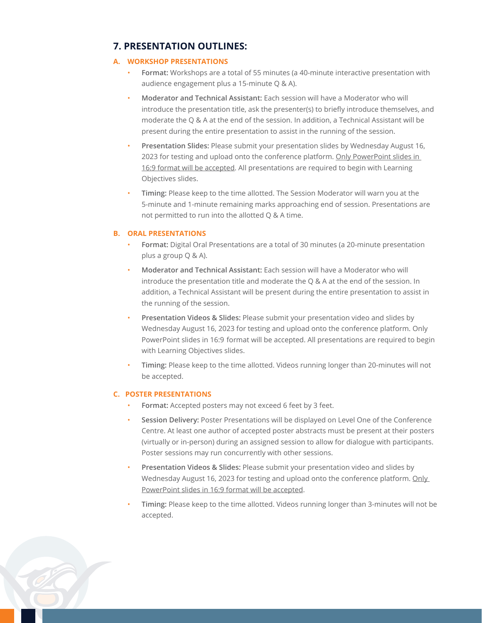# **7. PRESENTATION OUTLINES:**

#### **A. WORKSHOP PRESENTATIONS**

- **Format:** Workshops are a total of 55 minutes (a 40-minute interactive presentation with audience engagement plus a 15-minute Q & A).
- **Moderator and Technical Assistant:** Each session will have a Moderator who will introduce the presentation title, ask the presenter(s) to briefly introduce themselves, and moderate the Q & A at the end of the session. In addition, a Technical Assistant will be present during the entire presentation to assist in the running of the session.
- **Presentation Slides:** Please submit your presentation slides by Wednesday August 16, 2023 for testing and upload onto the conference platform. Only PowerPoint slides in 16:9 format will be accepted. All presentations are required to begin with Learning Objectives slides.
- **Timing:** Please keep to the time allotted. The Session Moderator will warn you at the 5-minute and 1-minute remaining marks approaching end of session. Presentations are not permitted to run into the allotted Q & A time.

#### **B. ORAL PRESENTATIONS**

- **Format:** Digital Oral Presentations are a total of 30 minutes (a 20-minute presentation plus a group Q & A).
- **Moderator and Technical Assistant:** Each session will have a Moderator who will introduce the presentation title and moderate the Q & A at the end of the session. In addition, a Technical Assistant will be present during the entire presentation to assist in the running of the session.
- **Presentation Videos & Slides:** Please submit your presentation video and slides by Wednesday August 16, 2023 for testing and upload onto the conference platform. Only PowerPoint slides in 16:9 format will be accepted. All presentations are required to begin with Learning Objectives slides.
- **Timing:** Please keep to the time allotted. Videos running longer than 20-minutes will not be accepted.

#### **C. POSTER PRESENTATIONS**

- Format: Accepted posters may not exceed 6 feet by 3 feet.
- **Session Delivery:** Poster Presentations will be displayed on Level One of the Conference Centre. At least one author of accepted poster abstracts must be present at their posters (virtually or in-person) during an assigned session to allow for dialogue with participants. Poster sessions may run concurrently with other sessions.
- **Presentation Videos & Slides:** Please submit your presentation video and slides by Wednesday August 16, 2023 for testing and upload onto the conference platform. Only PowerPoint slides in 16:9 format will be accepted.
- **Timing:** Please keep to the time allotted. Videos running longer than 3-minutes will not be accepted.